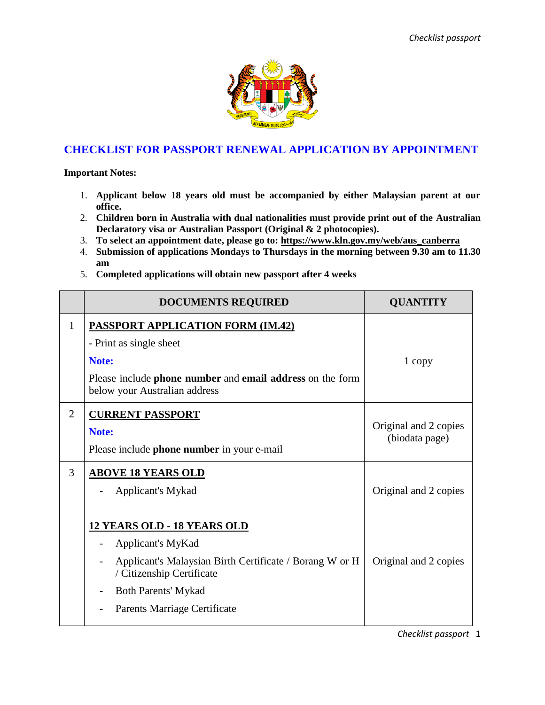

## **CHECKLIST FOR PASSPORT RENEWAL APPLICATION BY APPOINTMENT**

**Important Notes:**

- 1. **Applicant below 18 years old must be accompanied by either Malaysian parent at our office.**
- 2. **Children born in Australia with dual nationalities must provide print out of the Australian Declaratory visa or Australian Passport (Original & 2 photocopies).**
- 3. **To select an appointment date, please go to: [https://www.kln.gov.my/web/aus\\_canberra](https://www.kln.gov.my/web/aus_canberra)**
- 4. **Submission of applications Mondays to Thursdays in the morning between 9.30 am to 11.30 am**
- 5. **Completed applications will obtain new passport after 4 weeks**

|                | <b>DOCUMENTS REQUIRED</b>                                                                                                                                                                                     | <b>QUANTITY</b>                         |
|----------------|---------------------------------------------------------------------------------------------------------------------------------------------------------------------------------------------------------------|-----------------------------------------|
| 1              | <b>PASSPORT APPLICATION FORM (IM.42)</b><br>- Print as single sheet<br>Note:<br>Please include phone number and email address on the form<br>below your Australian address                                    | 1 copy                                  |
| $\overline{2}$ | <b>CURRENT PASSPORT</b><br>Note:<br>Please include phone number in your e-mail                                                                                                                                | Original and 2 copies<br>(biodata page) |
| 3              | <b>ABOVE 18 YEARS OLD</b><br>Applicant's Mykad                                                                                                                                                                | Original and 2 copies                   |
|                | <b>12 YEARS OLD - 18 YEARS OLD</b><br>Applicant's MyKad<br>Applicant's Malaysian Birth Certificate / Borang W or H<br>/ Citizenship Certificate<br><b>Both Parents' Mykad</b><br>Parents Marriage Certificate | Original and 2 copies                   |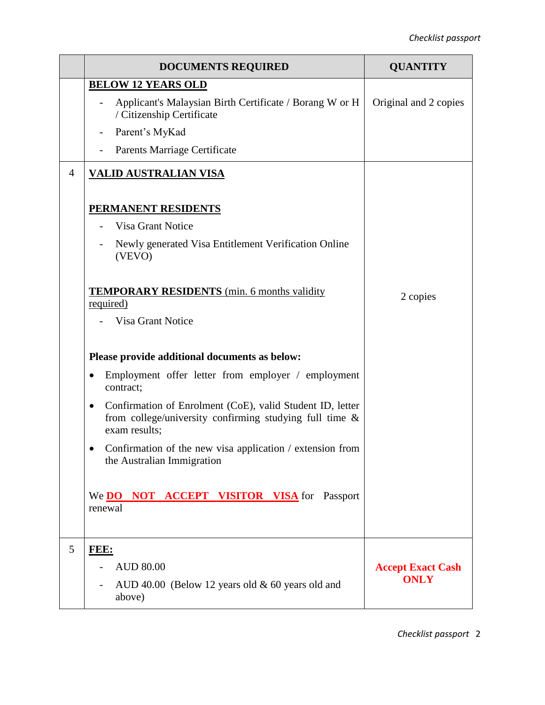|                | <b>DOCUMENTS REQUIRED</b>                                                                                                                             | <b>QUANTITY</b>          |
|----------------|-------------------------------------------------------------------------------------------------------------------------------------------------------|--------------------------|
|                | <b>BELOW 12 YEARS OLD</b>                                                                                                                             |                          |
|                | Applicant's Malaysian Birth Certificate / Borang W or H<br>/ Citizenship Certificate                                                                  | Original and 2 copies    |
|                | Parent's MyKad<br>$\overline{\phantom{a}}$                                                                                                            |                          |
|                | Parents Marriage Certificate                                                                                                                          |                          |
| $\overline{4}$ | <u>VALID AUSTRALIAN VISA</u>                                                                                                                          |                          |
|                | <b>PERMANENT RESIDENTS</b>                                                                                                                            |                          |
|                | Visa Grant Notice                                                                                                                                     |                          |
|                | Newly generated Visa Entitlement Verification Online<br>(VEVO)                                                                                        |                          |
|                | <b>TEMPORARY RESIDENTS</b> (min. 6 months validity<br>required)                                                                                       | 2 copies                 |
|                |                                                                                                                                                       |                          |
|                | <b>Visa Grant Notice</b>                                                                                                                              |                          |
|                | Please provide additional documents as below:                                                                                                         |                          |
|                | Employment offer letter from employer / employment<br>٠<br>contract;                                                                                  |                          |
|                | Confirmation of Enrolment (CoE), valid Student ID, letter<br>$\bullet$<br>from college/university confirming studying full time $\&$<br>exam results; |                          |
|                | Confirmation of the new visa application / extension from<br>the Australian Immigration                                                               |                          |
|                | We <b>DO NOT ACCEPT VISITOR VISA</b> for Passport<br>renewal                                                                                          |                          |
| 5              | FEE:                                                                                                                                                  |                          |
|                | <b>AUD 80.00</b>                                                                                                                                      | <b>Accept Exact Cash</b> |
|                | AUD 40.00 (Below 12 years old $&60$ years old and<br>above)                                                                                           | <b>ONLY</b>              |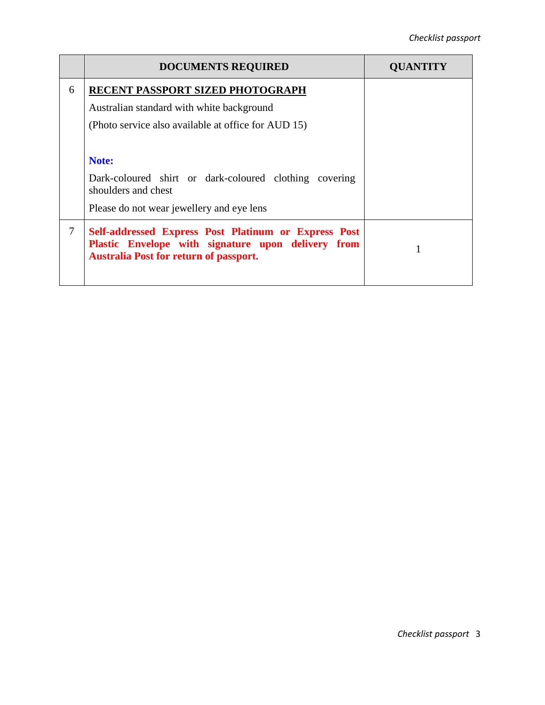|        | <b>DOCUMENTS REQUIRED</b>                                                                                                                                   | <b>UUANTITY</b> |
|--------|-------------------------------------------------------------------------------------------------------------------------------------------------------------|-----------------|
| 6      | RECENT PASSPORT SIZED PHOTOGRAPH                                                                                                                            |                 |
|        | Australian standard with white background                                                                                                                   |                 |
|        | (Photo service also available at office for AUD 15)                                                                                                         |                 |
|        |                                                                                                                                                             |                 |
|        | Note:                                                                                                                                                       |                 |
|        | Dark-coloured shirt or dark-coloured clothing covering<br>shoulders and chest                                                                               |                 |
|        | Please do not wear jewellery and eye lens                                                                                                                   |                 |
| $\tau$ | Self-addressed Express Post Platinum or Express Post<br>Plastic Envelope with signature upon delivery from<br><b>Australia Post for return of passport.</b> |                 |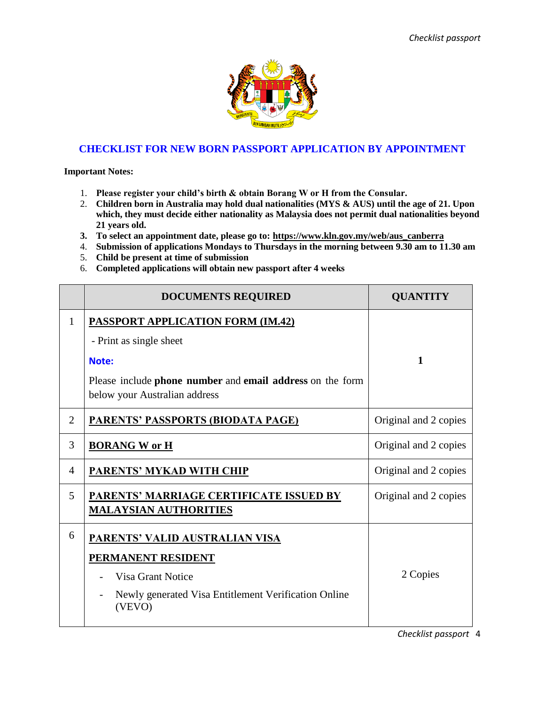

#### **CHECKLIST FOR NEW BORN PASSPORT APPLICATION BY APPOINTMENT**

**Important Notes:**

- 1. **Please register your child's birth & obtain Borang W or H from the Consular.**
- 2. **Children born in Australia may hold dual nationalities (MYS & AUS) until the age of 21. Upon which, they must decide either nationality as Malaysia does not permit dual nationalities beyond 21 years old.**
- **3. To select an appointment date, please go to: [https://www.kln.gov.my/web/aus\\_canberra](https://www.kln.gov.my/web/aus_canberra)**
- 4. **Submission of applications Mondays to Thursdays in the morning between 9.30 am to 11.30 am**
- 5. **Child be present at time of submission**
- 6. **Completed applications will obtain new passport after 4 weeks**

|              | <b>DOCUMENTS REQUIRED</b>                                                                                                                                                  | <b>QUANTITY</b>       |
|--------------|----------------------------------------------------------------------------------------------------------------------------------------------------------------------------|-----------------------|
| $\mathbf{1}$ | <b>PASSPORT APPLICATION FORM (IM.42)</b><br>- Print as single sheet<br>Note:<br>Please include phone number and email address on the form<br>below your Australian address | $\mathbf{1}$          |
| 2            | <u>PARENTS' PASSPORTS (BIODATA PAGE)</u>                                                                                                                                   | Original and 2 copies |
| 3            | <b>BORANG W or H</b>                                                                                                                                                       | Original and 2 copies |
| 4            | <b>PARENTS' MYKAD WITH CHIP</b>                                                                                                                                            | Original and 2 copies |
| 5            | PARENTS' MARRIAGE CERTIFICATE ISSUED BY<br><b>MALAYSIAN AUTHORITIES</b>                                                                                                    | Original and 2 copies |
| 6            | PARENTS' VALID AUSTRALIAN VISA<br><b>PERMANENT RESIDENT</b><br><b>Visa Grant Notice</b><br>Newly generated Visa Entitlement Verification Online<br>(VEVO)                  | 2 Copies              |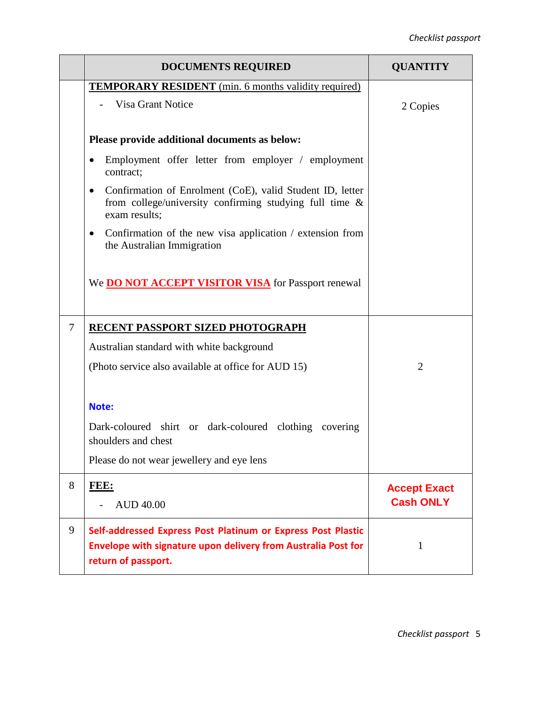|                | <b>DOCUMENTS REQUIRED</b>                                                                                                                            | <b>QUANTITY</b>     |
|----------------|------------------------------------------------------------------------------------------------------------------------------------------------------|---------------------|
|                | <b>TEMPORARY RESIDENT</b> (min. 6 months validity required)                                                                                          |                     |
|                | Visa Grant Notice                                                                                                                                    | 2 Copies            |
|                | Please provide additional documents as below:                                                                                                        |                     |
|                | Employment offer letter from employer / employment<br>$\bullet$<br>contract;                                                                         |                     |
|                | Confirmation of Enrolment (CoE), valid Student ID, letter<br>٠<br>from college/university confirming studying full time $\&$<br>exam results;        |                     |
|                | Confirmation of the new visa application / extension from<br>٠<br>the Australian Immigration                                                         |                     |
|                | We <b>DO NOT ACCEPT VISITOR VISA</b> for Passport renewal                                                                                            |                     |
| $\overline{7}$ | RECENT PASSPORT SIZED PHOTOGRAPH                                                                                                                     |                     |
|                | Australian standard with white background                                                                                                            |                     |
|                | (Photo service also available at office for AUD 15)                                                                                                  | $\overline{2}$      |
|                | Note:                                                                                                                                                |                     |
|                | Dark-coloured shirt or dark-coloured clothing covering<br>shoulders and chest                                                                        |                     |
|                | Please do not wear jewellery and eye lens                                                                                                            |                     |
| 8              | FEE:                                                                                                                                                 | <b>Accept Exact</b> |
|                | <b>AUD 40.00</b>                                                                                                                                     | <b>Cash ONLY</b>    |
| 9              | Self-addressed Express Post Platinum or Express Post Plastic<br>Envelope with signature upon delivery from Australia Post for<br>return of passport. | $\mathbf{1}$        |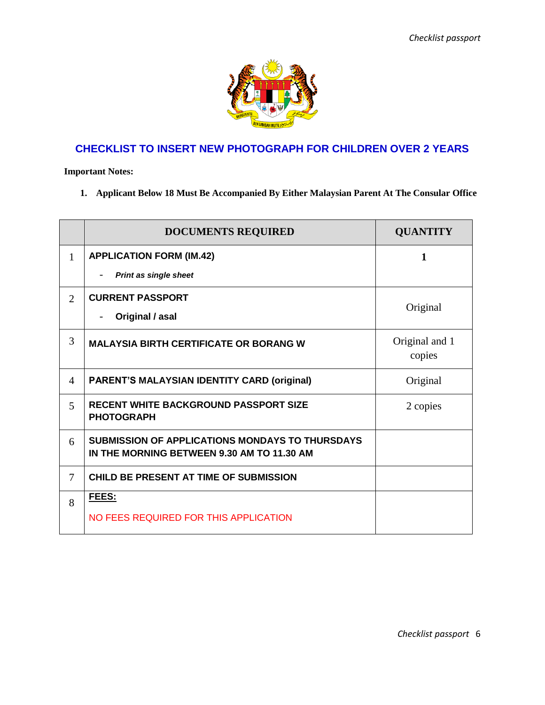

# **CHECKLIST TO INSERT NEW PHOTOGRAPH FOR CHILDREN OVER 2 YEARS**

**Important Notes:**

**1. Applicant Below 18 Must Be Accompanied By Either Malaysian Parent At The Consular Office**

|                | <b>DOCUMENTS REQUIRED</b>                                                                            | <b>QUANTITY</b>          |
|----------------|------------------------------------------------------------------------------------------------------|--------------------------|
| $\mathbf{1}$   | <b>APPLICATION FORM (IM.42)</b>                                                                      | 1                        |
|                | <b>Print as single sheet</b>                                                                         |                          |
| $\overline{2}$ | <b>CURRENT PASSPORT</b>                                                                              | Original                 |
|                | Original / asal                                                                                      |                          |
| 3              | <b>MALAYSIA BIRTH CERTIFICATE OR BORANG W</b>                                                        | Original and 1<br>copies |
| 4              | <b>PARENT'S MALAYSIAN IDENTITY CARD (original)</b>                                                   | Original                 |
| 5              | <b>RECENT WHITE BACKGROUND PASSPORT SIZE</b><br><b>PHOTOGRAPH</b>                                    | 2 copies                 |
| 6              | <b>SUBMISSION OF APPLICATIONS MONDAYS TO THURSDAYS</b><br>IN THE MORNING BETWEEN 9.30 AM TO 11.30 AM |                          |
| $\overline{7}$ | CHILD BE PRESENT AT TIME OF SUBMISSION                                                               |                          |
| 8              | FEES:                                                                                                |                          |
|                | NO FEES REQUIRED FOR THIS APPLICATION                                                                |                          |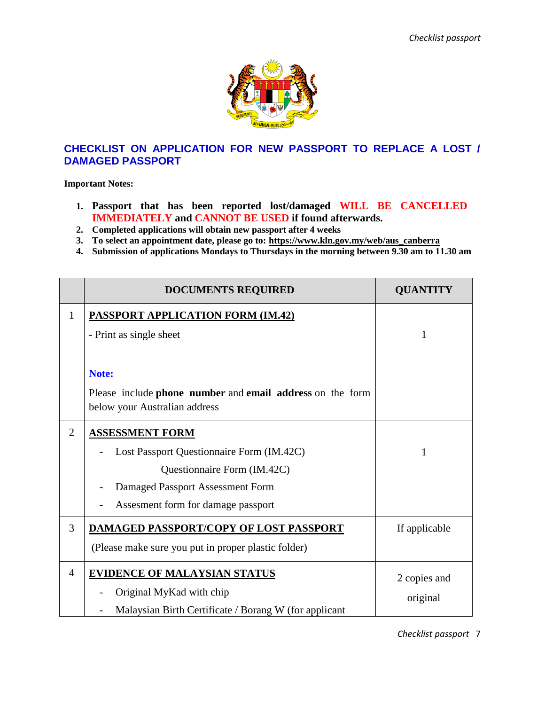

### **CHECKLIST ON APPLICATION FOR NEW PASSPORT TO REPLACE A LOST / DAMAGED PASSPORT**

**Important Notes:**

- **1. Passport that has been reported lost/damaged WILL BE CANCELLED IMMEDIATELY and CANNOT BE USED if found afterwards.**
- **2. Completed applications will obtain new passport after 4 weeks**
- **3. To select an appointment date, please go to: [https://www.kln.gov.my/web/aus\\_canberra](https://www.kln.gov.my/web/aus_canberra)**
- **4. Submission of applications Mondays to Thursdays in the morning between 9.30 am to 11.30 am**

|                | <b>DOCUMENTS REQUIRED</b>                                 | <b>QUANTITY</b> |
|----------------|-----------------------------------------------------------|-----------------|
| $\mathbf{1}$   | <b>PASSPORT APPLICATION FORM (IM.42)</b>                  |                 |
|                | - Print as single sheet                                   | 1               |
|                |                                                           |                 |
|                | Note:                                                     |                 |
|                | Please include phone number and email address on the form |                 |
|                | below your Australian address                             |                 |
| $\overline{2}$ | <b>ASSESSMENT FORM</b>                                    |                 |
|                | Lost Passport Questionnaire Form (IM.42C)                 | 1               |
|                | Questionnaire Form (IM.42C)                               |                 |
|                | Damaged Passport Assessment Form                          |                 |
|                | Assesment form for damage passport                        |                 |
| 3              | <b>DAMAGED PASSPORT/COPY OF LOST PASSPORT</b>             | If applicable   |
|                | (Please make sure you put in proper plastic folder)       |                 |
| $\overline{4}$ | <b>EVIDENCE OF MALAYSIAN STATUS</b>                       | 2 copies and    |
|                | Original MyKad with chip                                  | original        |
|                | Malaysian Birth Certificate / Borang W (for applicant     |                 |